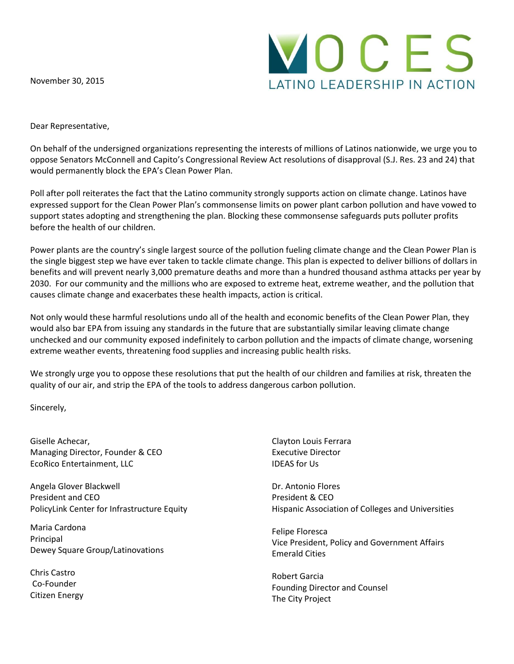November 30, 2015



Dear Representative,

On behalf of the undersigned organizations representing the interests of millions of Latinos nationwide, we urge you to oppose Senators McConnell and Capito's Congressional Review Act resolutions of disapproval (S.J. Res. 23 and 24) that would permanently block the EPA's Clean Power Plan.

Poll after poll reiterates the fact that the Latino community strongly supports action on climate change. Latinos have expressed support for the Clean Power Plan's commonsense limits on power plant carbon pollution and have vowed to support states adopting and strengthening the plan. Blocking these commonsense safeguards puts polluter profits before the health of our children.

Power plants are the country's single largest source of the pollution fueling climate change and the Clean Power Plan is the single biggest step we have ever taken to tackle climate change. This plan is expected to deliver billions of dollars in benefits and will prevent nearly 3,000 premature deaths and more than a hundred thousand asthma attacks per year by 2030. For our community and the millions who are exposed to extreme heat, extreme weather, and the pollution that causes climate change and exacerbates these health impacts, action is critical.

Not only would these harmful resolutions undo all of the health and economic benefits of the Clean Power Plan, they would also bar EPA from issuing any standards in the future that are substantially similar leaving climate change unchecked and our community exposed indefinitely to carbon pollution and the impacts of climate change, worsening extreme weather events, threatening food supplies and increasing public health risks.

We strongly urge you to oppose these resolutions that put the health of our children and families at risk, threaten the quality of our air, and strip the EPA of the tools to address dangerous carbon pollution.

Sincerely,

Giselle Achecar, Managing Director, Founder & CEO EcoRico Entertainment, LLC

Angela Glover Blackwell President and CEO PolicyLink Center for Infrastructure Equity

Maria Cardona Principal Dewey Square Group/Latinovations

Chris Castro Co-Founder Citizen Energy

Clayton Louis Ferrara Executive Director IDEAS for Us

Dr. Antonio Flores President & CEO Hispanic Association of Colleges and Universities

Felipe Floresca Vice President, Policy and Government Affairs Emerald Cities

Robert Garcia Founding Director and Counsel The City Project